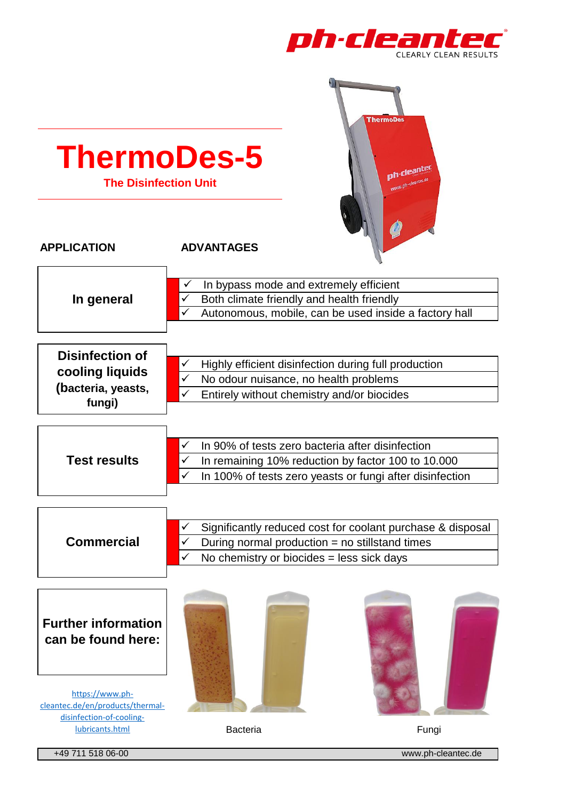



+49 711 518 06-00 www.ph-cleantec.de